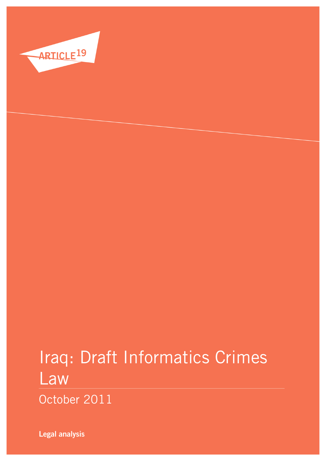

# Iraq: Draft Informatics Crimes Law

October 2011

**Legal analysis**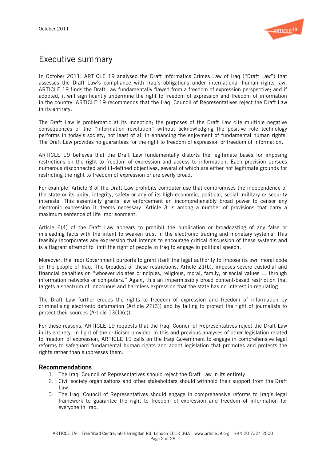

# Executive summary

In October 2011, ARTICLE 19 analysed the Draft Informatics Crimes Law of Iraq ("Draft Law") that assesses the Draft Law's compliance with Iraq's obligations under international human rights law. ARTICLE 19 finds the Draft Law fundamentally flawed from a freedom of expression perspective; and if adopted, it will significantly undermine the right to freedom of expression and freedom of information in the country. ARTICLE 19 recommends that the Iraqi Council of Representatives reject the Draft Law in its entirety.

The Draft Law is problematic at its inception; the purposes of the Draft Law cite multiple negative consequences of the "information revolution" without acknowledging the positive role technology performs in today's society, not least of all in enhancing the enjoyment of fundamental human rights. The Draft Law provides no guarantees for the right to freedom of expression or freedom of information.

ARTICLE 19 believes that the Draft Law fundamentally distorts the legitimate bases for imposing restrictions on the right to freedom of expression and access to information. Each provision pursues numerous disconnected and ill-defined objectives, several of which are either not legitimate grounds for restricting the right to freedom of expression or are overly broad.

For example, Article 3 of the Draft Law prohibits computer use that compromises the independence of the state or its unity, integrity, safety or any of its high economic, political, social, military or security interests. This essentially grants law enforcement an incomprehensibly broad power to censor any electronic expression it deems necessary. Article 3 is among a number of provisions that carry a maximum sentence of life imprisonment.

Article 6(4) of the Draft Law appears to prohibit the publication or broadcasting of any false or misleading facts with the intent to weaken trust in the electronic trading and monetary systems. This feasibly incorporates any expression that intends to encourage critical discussion of these systems and is a flagrant attempt to limit the right of people in Iraq to engage in political speech.

Moreover, the Iraqi Government purports to grant itself the legal authority to impose its own moral code on the people of Iraq. The broadest of these restrictions, Article 21(b), imposes severe custodial and financial penalties on "whoever violates principles, religious, moral, family, or social values … through information networks or computers." Again, this an impermissibly broad content-based restriction that targets a spectrum of innocuous and harmless expression that the state has no interest in regulating.

The Draft Law further erodes the rights to freedom of expression and freedom of information by criminalising electronic defamation (Article 22(3)) and by failing to protect the right of journalists to protect their sources (Article 13(1)(c)).

For these reasons, ARTICLE 19 requests that the Iraqi Council of Representatives reject the Draft Law in its entirety. In light of the criticism provided in this and previous analyses of other legislation related to freedom of expression, ARTICLE 19 calls on the Iraqi Government to engage in comprehensive legal reforms to safeguard fundamental human rights and adopt legislation that promotes and protects the rights rather than suppresses them.

# Recommendations

- 1. The Iraqi Council of Representatives should reject the Draft Law in its entirety.
- 2. Civil society organisations and other stakeholders should withhold their support from the Draft Law.
- 3. The Iraqi Council of Representatives should engage in comprehensive reforms to Iraq's legal framework to guarantee the right to freedom of expression and freedom of information for everyone in Iraq.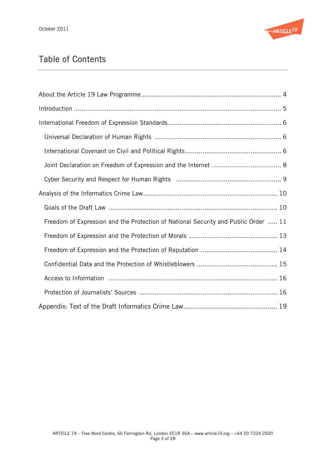

# Table of Contents

| Freedom of Expression and the Protection of National Security and Public Order  11 |
|------------------------------------------------------------------------------------|
|                                                                                    |
|                                                                                    |
|                                                                                    |
|                                                                                    |
|                                                                                    |
|                                                                                    |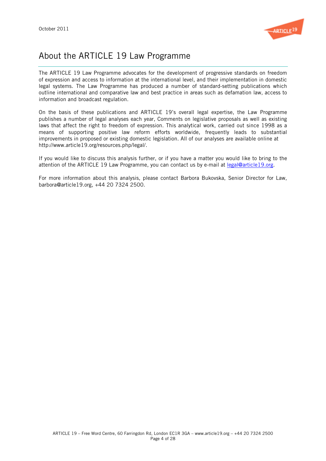

# About the ARTICLE 19 Law Programme

The ARTICLE 19 Law Programme advocates for the development of progressive standards on freedom of expression and access to information at the international level, and their implementation in domestic legal systems. The Law Programme has produced a number of standard-setting publications which outline international and comparative law and best practice in areas such as defamation law, access to information and broadcast regulation.

On the basis of these publications and ARTICLE 19's overall legal expertise, the Law Programme publishes a number of legal analyses each year, Comments on legislative proposals as well as existing laws that affect the right to freedom of expression. This analytical work, carried out since 1998 as a means of supporting positive law reform efforts worldwide, frequently leads to substantial improvements in proposed or existing domestic legislation. All of our analyses are available online at http://www.article19.org/resources.php/legal/.

If you would like to discuss this analysis further, or if you have a matter you would like to bring to the attention of the ARTICLE 19 Law Programme, you can contact us by e-mail at legal@article19.org.

For more information about this analysis, please contact Barbora Bukovska, Senior Director for Law, barbora@article19.org, +44 20 7324 2500.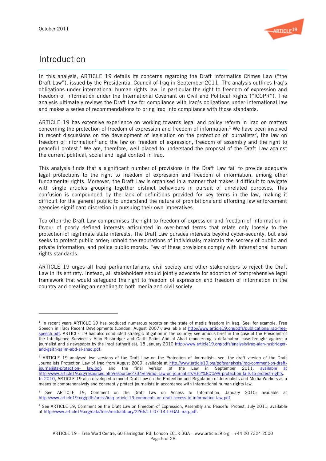l



# Introduction

In this analysis, ARTICLE 19 details its concerns regarding the Draft Informatics Crimes Law ("the Draft Law"), issued by the Presidential Council of Iraq in September 2011. The analysis outlines Iraq's obligations under international human rights law, in particular the right to freedom of expression and freedom of information under the International Covenant on Civil and Political Rights ("ICCPR"). The analysis ultimately reviews the Draft Law for compliance with Iraq's obligations under international law and makes a series of recommendations to bring Iraq into compliance with those standards.

ARTICLE 19 has extensive experience on working towards legal and policy reform in Iraq on matters concerning the protection of freedom of expression and freedom of information.<sup>1</sup> We have been involved in recent discussions on the development of legislation on the protection of journalists<sup>2</sup>, the law on freedom of information<sup>3</sup> and the law on freedom of expression, freedom of assembly and the right to peaceful protest.4 We are, therefore, well placed to understand the proposal of the Draft Law against the current political, social and legal context in Iraq.

This analysis finds that a significant number of provisions in the Draft Law fail to provide adequate legal protections to the right to freedom of expression and freedom of information, among other fundamental rights. Moreover, the Draft Law is organised in a manner that makes it difficult to navigate with single articles grouping together distinct behaviours in pursuit of unrelated purposes. This confusion is compounded by the lack of definitions provided for key terms in the law, making it difficult for the general public to understand the nature of prohibitions and affording law enforcement agencies significant discretion in pursuing their own imperatives.

Too often the Draft Law compromises the right to freedom of expression and freedom of information in favour of poorly defined interests articulated in over-broad terms that relate only loosely to the protection of legitimate state interests. The Draft Law pursues interests beyond cyber-security, but also seeks to protect public order; uphold the reputations of individuals; maintain the secrecy of public and private information; and police public morals. Few of these provisions comply with international human rights standards.

ARTICLE 19 urges all Iraqi parliamentarians, civil society and other stakeholders to reject the Draft Law in its entirety. Instead, all stakeholders should jointly advocate for adoption of comprehensive legal framework that would safeguard the right to freedom of expression and freedom of information in the country and creating an enabling to both media and civil society.

 $1$  In recent years ARTICLE 19 has produced numerous reports on the state of media freedom in Iraq. See, for example, Free Speech in Iraq: Recent Developments (London, August 2007), available at http://www.article19.org/pdfs/publications/iraq-freespeech.pdf. ARTICLE 19 has also conducted strategic litigation in the country; see amicus brief in the case of the President of the Intelligence Services v Alan Rusbridger and Gaith Salim Abd al Ahad (concerning a defamation case brought against a journalist and a newspaper by the Iraqi authorities), 18 January 2010 http://www.article19.org/pdfs/analysis/iraq-alan-rusbridgerand-gaith-salim-abd-al-ahad.pdf.

<sup>&</sup>lt;sup>2</sup> ARTICLE 19 analysed two versions of the Draft Law on the Protection of Journalists; see, the draft version of the Draft Journalists Protection Law of Iraq from August 2009; available at http://www.article19.org/pdfs/analysis/iraq-comment-on-draftjournalists-protection- law.pdf; and the final version of the Law in September 2011, available at http://www.article19.org/resources.php/resource/2734/en/iraq:-law-on-journalists%E2%80%99-protection-fails-to-protect-rights. In 2010, ARTICLE 19 also developed a model Draft Law on the Protection and Regulation of Journalists and Media Workers as a means to comprehensively and coherently protect journalists in accordance with international human rights law.

<sup>&</sup>lt;sup>3</sup> See ARTICLE 19, Comment on the Draft Law on Access to Information, January 2010; available at http://www.article19.org/pdfs/press/iraq-article-19-comments-on-draft-access-to-information-law.pdf.

<sup>4</sup> See ARTICLE 19, Comment on the Draft Law on Freedom of Expression, Assembly and Peaceful Protest, July 2011; available at http://www.article19.org/data/files/medialibrary/2266/11-07-14-LEGAL-iraq.pdf.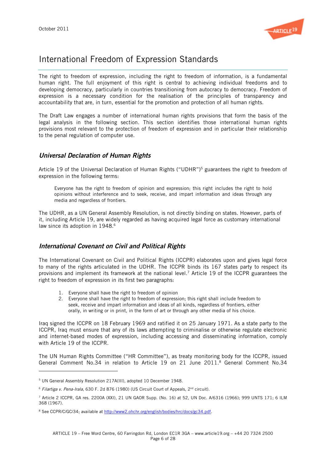

# International Freedom of Expression Standards

The right to freedom of expression, including the right to freedom of information, is a fundamental human right. The full enjoyment of this right is central to achieving individual freedoms and to developing democracy, particularly in countries transitioning from autocracy to democracy. Freedom of expression is a necessary condition for the realisation of the principles of transparency and accountability that are, in turn, essential for the promotion and protection of all human rights.

The Draft Law engages a number of international human rights provisions that form the basis of the legal analysis in the following section. This section identifies those international human rights provisions most relevant to the protection of freedom of expression and in particular their relationship to the penal regulation of computer use.

# Universal Declaration of Human Rights

Article 19 of the Universal Declaration of Human Rights ("UDHR") <sup>5</sup> guarantees the right to freedom of expression in the following terms:

Everyone has the right to freedom of opinion and expression; this right includes the right to hold opinions without interference and to seek, receive, and impart information and ideas through any media and regardless of frontiers.

The UDHR, as a UN General Assembly Resolution, is not directly binding on states. However, parts of it, including Article 19, are widely regarded as having acquired legal force as customary international law since its adoption in 1948.<sup>6</sup>

# International Covenant on Civil and Political Rights

The International Covenant on Civil and Political Rights (ICCPR) elaborates upon and gives legal force to many of the rights articulated in the UDHR. The ICCPR binds its 167 states party to respect its provisions and implement its framework at the national level.<sup>7</sup> Article 19 of the ICCPR guarantees the right to freedom of expression in its first two paragraphs:

- 1. Everyone shall have the right to freedom of opinion
- 2. Everyone shall have the right to freedom of expression; this right shall include freedom to seek, receive and impart information and ideas of all kinds, regardless of frontiers, either orally, in writing or in print, in the form of art or through any other media of his choice.

Iraq signed the ICCPR on 18 February 1969 and ratified it on 25 January 1971. As a state party to the ICCPR, Iraq must ensure that any of its laws attempting to criminalise or otherwise regulate electronic and internet-based modes of expression, including accessing and disseminating information, comply with Article 19 of the ICCPR.

The UN Human Rights Committee ("HR Committee"), as treaty monitoring body for the ICCPR, issued General Comment  $No.34$  in relation to Article 19 on 21 June 2011.<sup>8</sup> General Comment No.34

<sup>5</sup> UN General Assembly Resolution 217A(III), adopted 10 December 1948.

 $6$  Filartiga v. Pena-Irala, 630 F. 2d 876 (1980) (US Circuit Court of Appeals,  $2<sup>nd</sup>$  circuit).

 $^7$  Article 2 ICCPR, GA res. 2200A (XXI), 21 UN GAOR Supp. (No. 16) at 52, UN Doc. A/6316 (1966); 999 UNTS 171; 6 ILM 368 (1967).

<sup>&</sup>lt;sup>8</sup> See CCPR/C/GC/34; available at http://www2.ohchr.org/english/bodies/hrc/docs/gc34.pdf.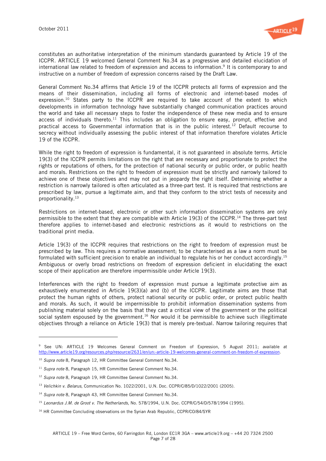

constitutes an authoritative interpretation of the minimum standards guaranteed by Article 19 of the ICCPR. ARTICLE 19 welcomed General Comment No.34 as a progressive and detailed elucidation of international law related to freedom of expression and access to information.<sup>9</sup> It is contemporary to and instructive on a number of freedom of expression concerns raised by the Draft Law.

General Comment No.34 affirms that Article 19 of the ICCPR protects all forms of expression and the means of their dissemination, including all forms of electronic and internet-based modes of expression.<sup>10</sup> States party to the ICCPR are required to take account of the extent to which developments in information technology have substantially changed communication practices around the world and take all necessary steps to foster the independence of these new media and to ensure access of individuals thereto.<sup>11</sup> This includes an obligation to ensure easy, prompt, effective and practical access to Governmental information that is in the public interest.<sup>12</sup> Default recourse to secrecy without individually assessing the public interest of that information therefore violates Article 19 of the ICCPR.

While the right to freedom of expression is fundamental, it is not guaranteed in absolute terms. Article 19(3) of the ICCPR permits limitations on the right that are necessary and proportionate to protect the rights or reputations of others, for the protection of national security or public order, or public health and morals. Restrictions on the right to freedom of expression must be strictly and narrowly tailored to achieve one of these objectives and may not put in jeopardy the right itself. Determining whether a restriction is narrowly tailored is often articulated as a three-part test. It is required that restrictions are prescribed by law, pursue a legitimate aim, and that they conform to the strict tests of necessity and proportionality.13

Restrictions on internet-based, electronic or other such information dissemination systems are only permissible to the extent that they are compatible with Article 19(3) of the ICCPR. <sup>14</sup> The three-part test therefore applies to internet-based and electronic restrictions as it would to restrictions on the traditional print media.

Article 19(3) of the ICCPR requires that restrictions on the right to freedom of expression must be prescribed by law. This requires a normative assessment; to be characterised as a law a norm must be formulated with sufficient precision to enable an individual to regulate his or her conduct accordingly.15 Ambiguous or overly broad restrictions on freedom of expression deficient in elucidating the exact scope of their application are therefore impermissible under Article 19(3).

Interferences with the right to freedom of expression must pursue a legitimate protective aim as exhaustively enumerated in Article 19(3)(a) and (b) of the ICCPR. Legitimate aims are those that protect the human rights of others, protect national security or public order, or protect public health and morals. As such, it would be impermissible to prohibit information dissemination systems from publishing material solely on the basis that they cast a critical view of the government or the political social system espoused by the government.<sup>16</sup> Nor would it be permissible to achieve such illegitimate objectives through a reliance on Article 19(3) that is merely pre-textual. Narrow tailoring requires that

l

<sup>9</sup> See UN: ARTICLE 19 Welcomes General Comment on Freedom of Expression, 5 August 2011; available at http://www.article19.org/resources.php/resource/2631/en/un:-article-19-welcomes-general-comment-on-freedom-of-expression.

<sup>&</sup>lt;sup>10</sup> Supra note 8, Paragraph 12, HR Committee General Comment No.34.

 $11$  Supra note 8, Paragraph 15, HR Committee General Comment No.34.

<sup>&</sup>lt;sup>12</sup> Supra note 8, Paragraph 19, HR Committee General Comment No.34.

<sup>&</sup>lt;sup>13</sup> Velichkin v. Belarus, Communication No. 1022/2001, U.N. Doc. CCPR/C/85/D/1022/2001 (2005).

<sup>&</sup>lt;sup>14</sup> Supra note 8, Paragraph 43, HR Committee General Comment No.34.

<sup>&</sup>lt;sup>15</sup> Leonardus J.M. de Groot v. The Netherlands, No. 578/1994, U.N. Doc. CCPR/C/54/D/578/1994 (1995).

<sup>&</sup>lt;sup>16</sup> HR Committee Concluding observations on the Syrian Arab Republic, CCPR/CO/84/SYR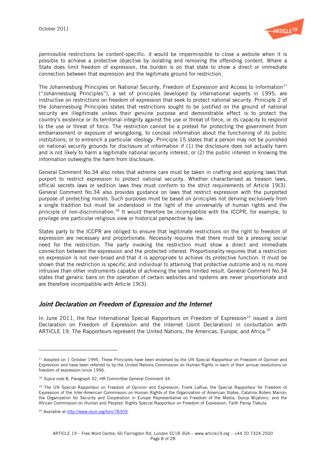

permissible restrictions be content-specific: it would be impermissible to close a website when it is possible to achieve a protective objective by isolating and removing the offending content. Where a State does limit freedom of expression, the burden is on that state to show a direct or immediate connection between that expression and the legitimate ground for restriction.

The Johannesburg Principles on National Security, Freedom of Expression and Access to Information<sup>17</sup> ("Johannesburg Principles"), a set of principles developed by international experts in 1995, are instructive on restrictions on freedom of expression that seek to protect national security. Principle 2 of the Johannesburg Principles states that restrictions sought to be justified on the ground of national security are illegitimate unless their genuine purpose and demonstrable effect is to protect the country's existence or its territorial integrity against the use or threat of force, or its capacity to respond to the use or threat of force. The restriction cannot be a pretext for protecting the government from embarrassment or exposure of wrongdoing, to conceal information about the functioning of its public institutions, or to entrench a particular ideology. Principle 15 states that a person may not be punished on national security grounds for disclosure of information if (1) the disclosure does not actually harm and is not likely to harm a legitimate national security interest, or (2) the public interest in knowing the information outweighs the harm from disclosure.

General Comment No.34 also notes that extreme care must be taken in crafting and applying laws that purport to restrict expression to protect national security. Whether characterised as treason laws, official secrets laws or sedition laws they must conform to the strict requirements of Article 19(3). General Comment No.34 also provides guidance on laws that restrict expression with the purported purpose of protecting morals. Such purposes must be based on principles not deriving exclusively from a single tradition but must be understood in the light of the universality of human rights and the principle of non-discrimination.<sup>18</sup> It would therefore be incompatible with the ICCPR, for example, to privilege one particular religious view or historical perspective by law.

States party to the ICCPR are obliged to ensure that legitimate restrictions on the right to freedom of expression are necessary and proportionate. Necessity requires that there must be a pressing social need for the restriction. The party invoking the restriction must show a direct and immediate connection between the expression and the protected interest. Proportionality requires that a restriction on expression is not over-broad and that it is appropriate to achieve its protective function. It must be shown that the restriction is specific and individual to attaining that protective outcome and is no more intrusive than other instruments capable of achieving the same limited result. General Comment No.34 states that generic bans on the operation of certain websites and systems are never proportionate and are therefore incompatible with Article 19(3).

# Joint Declaration on Freedom of Expression and the Internet

In June 2011, the four International Special Rapporteurs on Freedom of Expression<sup>19</sup> issued a Joint Declaration on Freedom of Expression and the Internet (Joint Declaration) in consultation with ARTICLE 19. The Rapporteurs represent the United Nations, the Americas, Europe, and Africa.<sup>20</sup>

l

<sup>&</sup>lt;sup>17</sup> Adopted on 1 October 1995. These Principles have been endorsed by the UN Special Rapporteur on Freedom of Opinion and Expression and have been referred to by the United Nations Commission on Human Rights in each of their annual resolutions on freedom of expression since 1996.

<sup>&</sup>lt;sup>18</sup> Supra note 8, Paragraph 32, HR Committee General Comment 34.

<sup>&</sup>lt;sup>19</sup> The UN Special Rapporteur on Freedom of Opinion and Expression, Frank LaRue; the Special Rapporteur for Freedom of Expression of the Inter-American Commission on Human Rights of the Organization of American States, Catalina Botero Marino; the Organization for Security and Cooperation in Europe Representative on Freedom of the Media, Dunja Mijatovic; and the African Commission on Human and Peoples' Rights Special Rapporteur on Freedom of Expression, Faith Pansy Tlakula.

<sup>20</sup> Available at http://www.osce.org/fom/78309.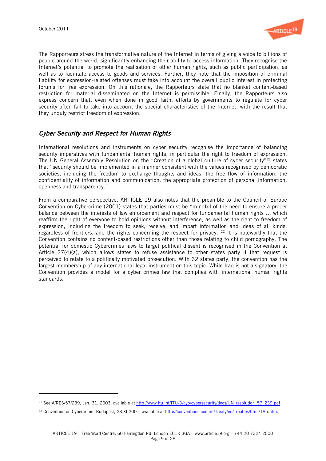

The Rapporteurs stress the transformative nature of the Internet in terms of giving a voice to billions of people around the world, significantly enhancing their ability to access information. They recognise the Internet's potential to promote the realisation of other human rights, such as public participation, as well as to facilitate access to goods and services. Further, they note that the imposition of criminal liability for expression-related offenses must take into account the overall public interest in protecting forums for free expression. On this rationale, the Rapporteurs state that no blanket content-based restriction for material disseminated on the Internet is permissible. Finally, the Rapporteurs also express concern that, even when done in good faith, efforts by governments to regulate for cyber security often fail to take into account the special characteristics of the Internet, with the result that they unduly restrict freedom of expression.

# Cyber Security and Respect for Human Rights

International resolutions and instruments on cyber security recognise the importance of balancing security imperatives with fundamental human rights, in particular the right to freedom of expression. The UN General Assembly Resolution on the "Creation of a global culture of cyber security"<sup>21</sup> states that "security should be implemented in a manner consistent with the values recognised by democratic societies, including the freedom to exchange thoughts and ideas, the free flow of information, the confidentiality of information and communication, the appropriate protection of personal information, openness and transparency."

From a comparative perspective, ARTICLE 19 also notes that the preamble to the Council of Europe Convention on Cybercrime (2001) states that parties must be "mindful of the need to ensure a proper balance between the interests of law enforcement and respect for fundamental human rights … which reaffirm the right of everyone to hold opinions without interference, as well as the right to freedom of expression, including the freedom to seek, receive, and impart information and ideas of all kinds, regardless of frontiers, and the rights concerning the respect for privacy."<sup>22</sup> It is noteworthy that the Convention contains no content-based restrictions other than those relating to child pornography. The potential for domestic Cybercrimes laws to target political dissent is recognised in the Convention at Article 27(4)(a), which allows states to refuse assistance to other states party if that request is perceived to relate to a politically motivated prosecution. With 32 states party, the convention has the largest membership of any international legal instrument on this topic. While Iraq is not a signatory, the Convention provides a model for a cyber crimes law that complies with international human rights standards.

 $^{21}$  See A/RES/57/239, Jan. 31, 2003; available at http://www.itu.int/ITU-D/cyb/cybersecurity/docs/UN\_resolution\_57\_239.pdf.

<sup>22</sup> Convention on Cybercrime, Budapest, 23.XI.2001; available at http://conventions.coe.int/Treaty/en/Treaties/html/185.htm.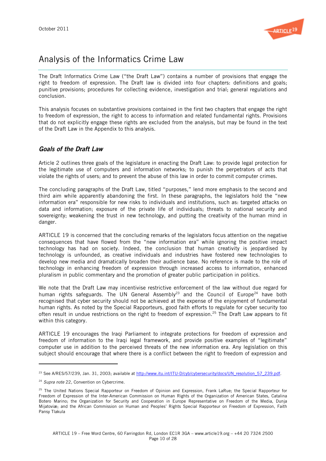

# Analysis of the Informatics Crime Law

The Draft Informatics Crime Law ("the Draft Law") contains a number of provisions that engage the right to freedom of expression. The Draft law is divided into four chapters: definitions and goals; punitive provisions; procedures for collecting evidence, investigation and trial; general regulations and conclusion.

This analysis focuses on substantive provisions contained in the first two chapters that engage the right to freedom of expression, the right to access to information and related fundamental rights. Provisions that do not explicitly engage these rights are excluded from the analysis, but may be found in the text of the Draft Law in the Appendix to this analysis.

# Goals of the Draft Law

Article 2 outlines three goals of the legislature in enacting the Draft Law: to provide legal protection for the legitimate use of computers and information networks; to punish the perpetrators of acts that violate the rights of users; and to prevent the abuse of this law in order to commit computer crimes.

The concluding paragraphs of the Draft Law, titled "purposes," lend more emphasis to the second and third aim while apparently abandoning the first. In these paragraphs, the legislators hold the "new information era" responsible for new risks to individuals and institutions, such as: targeted attacks on data and information; exposure of the private life of individuals; threats to national security and sovereignty; weakening the trust in new technology, and putting the creativity of the human mind in danger.

ARTICLE 19 is concerned that the concluding remarks of the legislators focus attention on the negative consequences that have flowed from the "new information era" while ignoring the positive impact technology has had on society. Indeed, the conclusion that human creativity is jeopardised by technology is unfounded, as creative individuals and industries have fostered new technologies to develop new media and dramatically broaden their audience base. No reference is made to the role of technology in enhancing freedom of expression through increased access to information, enhanced pluralism in public commentary and the promotion of greater public participation in politics.

We note that the Draft Law may incentivise restrictive enforcement of the law without due regard for human rights safeguards. The UN General Assembly<sup>23</sup> and the Council of Europe<sup>24</sup> have both recognised that cyber security should not be achieved at the expense of the enjoyment of fundamental human rights. As noted by the Special Rapporteurs, good faith efforts to regulate for cyber security too often result in undue restrictions on the right to freedom of expression.<sup>25</sup> The Draft Law appears to fit within this category.

ARTICLE 19 encourages the Iraqi Parliament to integrate protections for freedom of expression and freedom of information to the Iraqi legal framework, and provide positive examples of "legitimate" computer use in addition to the perceived threats of the new information era. Any legislation on this subject should encourage that where there is a conflict between the right to freedom of expression and

<sup>&</sup>lt;sup>23</sup> See A/RES/57/239, Jan. 31, 2003; available at http://www.itu.int/ITU-D/cyb/cybersecurity/docs/UN\_resolution\_57\_239.pdf.

<sup>&</sup>lt;sup>24</sup> Supra note 22, Convention on Cybercrime.

<sup>&</sup>lt;sup>25</sup> The United Nations Special Rapporteur on Freedom of Opinion and Expression, Frank LaRue; the Special Rapporteur for Freedom of Expression of the Inter-American Commission on Human Rights of the Organization of American States, Catalina Botero Marino; the Organization for Security and Cooperation in Europe Representative on Freedom of the Media, Dunja Mijatoviæ; and the African Commission on Human and Peoples' Rights Special Rapporteur on Freedom of Expression, Faith Pansy Tlakula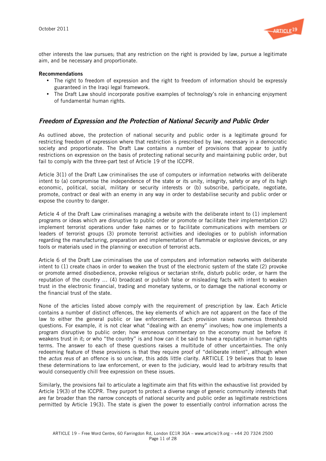

other interests the law pursues; that any restriction on the right is provided by law, pursue a legitimate aim, and be necessary and proportionate.

#### Recommendations

- The right to freedom of expression and the right to freedom of information should be expressly guaranteed in the Iraqi legal framework.
- The Draft Law should incorporate positive examples of technology's role in enhancing enjoyment of fundamental human rights.

# Freedom of Expression and the Protection of National Security and Public Order

As outlined above, the protection of national security and public order is a legitimate ground for restricting freedom of expression where that restriction is prescribed by law, necessary in a democratic society and proportionate. The Draft Law contains a number of provisions that appear to justify restrictions on expression on the basis of protecting national security and maintaining public order, but fail to comply with the three-part test of Article 19 of the ICCPR.

Article 3(1) of the Draft Law criminalises the use of computers or information networks with deliberate intent to (a) compromise the independence of the state or its unity, integrity, safety or any of its high economic, political, social, military or security interests or (b) subscribe, participate, negotiate, promote, contract or deal with an enemy in any way in order to destabilise security and public order or expose the country to danger.

Article 4 of the Draft Law criminalises managing a website with the deliberate intent to (1) implement programs or ideas which are disruptive to public order or promote or facilitate their implementation (2) implement terrorist operations under fake names or to facilitate communications with members or leaders of terrorist groups (3) promote terrorist activities and ideologies or to publish information regarding the manufacturing, preparation and implementation of flammable or explosive devices, or any tools or materials used in the planning or execution of terrorist acts.

Article 6 of the Draft Law criminalises the use of computers and information networks with deliberate intent to (1) create chaos in order to weaken the trust of the electronic system of the state (2) provoke or promote armed disobedience, provoke religious or sectarian strife, disturb public order, or harm the reputation of the country … (4) broadcast or publish false or misleading facts with intent to weaken trust in the electronic financial, trading and monetary systems, or to damage the national economy or the financial trust of the state.

None of the articles listed above comply with the requirement of prescription by law. Each Article contains a number of distinct offences, the key elements of which are not apparent on the face of the law to either the general public or law enforcement. Each provision raises numerous threshold questions. For example, it is not clear what "dealing with an enemy" involves; how one implements a program disruptive to public order; how erroneous commentary on the economy must be before it weakens trust in it; or who "the country" is and how can it be said to have a reputation in human rights terms. The answer to each of these questions raises a multitude of other uncertainties. The only redeeming feature of these provisions is that they require proof of "deliberate intent", although when the *actus reus* of an offence is so unclear, this adds little clarity. ARTICLE 19 believes that to leave these determinations to law enforcement, or even to the judiciary, would lead to arbitrary results that would consequently chill free expression on these issues.

Similarly, the provisions fail to articulate a legitimate aim that fits within the exhaustive list provided by Article 19(3) of the ICCPR. They purport to protect a diverse range of generic community interests that are far broader than the narrow concepts of national security and public order as legitimate restrictions permitted by Article 19(3). The state is given the power to essentially control information across the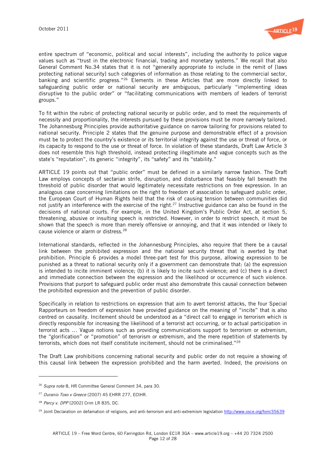

entire spectrum of "economic, political and social interests", including the authority to police vague values such as "trust in the electronic financial, trading and monetary systems." We recall that also General Comment No.34 states that it is not "generally appropriate to include in the remit of [laws protecting national security] such categories of information as those relating to the commercial sector, banking and scientific progress."<sup>26</sup> Elements in these Articles that are more directly linked to safeguarding public order or national security are ambiguous, particularly "implementing ideas disruptive to the public order" or "facilitating communications with members of leaders of terrorist groups."

To fit within the rubric of protecting national security or public order, and to meet the requirements of necessity and proportionality, the interests pursued by these provisions must be more narrowly tailored. The Johannesburg Principles provide authoritative guidance on narrow tailoring for provisions related to national security. Principle 2 states that the genuine purpose and demonstrable effect of a provision must be to protect the country's existence or its territorial integrity against the use or threat of force, or its capacity to respond to the use or threat of force. In violation of these standards, Draft Law Article 3 does not resemble this high threshold, instead protecting illegitimate and vague concepts such as the state's "reputation", its generic "integrity", its "safety" and its "stability."

ARTICLE 19 points out that "public order" must be defined in a similarly narrow fashion. The Draft Law employs concepts of sectarian strife, disruption, and disturbance that feasibly fall beneath the threshold of public disorder that would legitimately necessitate restrictions on free expression. In an analogous case concerning limitations on the right to freedom of association to safeguard public order, the European Court of Human Rights held that the risk of causing tension between communities did not justify an interference with the exercise of the right.<sup>27</sup> Instructive guidance can also be found in the decisions of national courts. For example, in the United Kingdom's Public Order Act, at section 5, threatening, abusive or insulting speech is restricted. However, in order to restrict speech, it must be shown that the speech is more than merely offensive or annoying, and that it was intended or likely to cause violence or alarm or distress.<sup>28</sup>

International standards, reflected in the Johannesburg Principles, also require that there be a causal link between the prohibited expression and the national security threat that is averted by that prohibition. Principle 6 provides a model three-part test for this purpose, allowing expression to be punished as a threat to national security only if a government can demonstrate that: (a) the expression is intended to incite imminent violence; (b) it is likely to incite such violence; and (c) there is a direct and immediate connection between the expression and the likelihood or occurrence of such violence. Provisions that purport to safeguard public order must also demonstrate this causal connection between the prohibited expression and the prevention of public disorder.

Specifically in relation to restrictions on expression that aim to avert terrorist attacks, the four Special Rapporteurs on freedom of expression have provided guidance on the meaning of "incite" that is also centred on causality. Incitement should be understood as a "direct call to engage in terrorism which is directly responsible for increasing the likelihood of a terrorist act occurring, or to actual participation in terrorist acts … Vague notions such as providing communications support to terrorism or extremism, the "glorification" or "promotion" of terrorism or extremism, and the mere repetition of statements by terrorists, which does not itself constitute incitement, should not be criminalised."29

The Draft Law prohibitions concerning national security and public order do not require a showing of this causal link between the expression prohibited and the harm averted. Indeed, the provisions on

l

<sup>&</sup>lt;sup>26</sup> Supra note 8, HR Committee General Comment 34, para 30.

<sup>27</sup> Ouranio Toxo v Greece (2007) 45 EHRR 277, ECtHR.

<sup>28</sup> Percy v. DPP [2002] Crim LR 835, DC.

<sup>&</sup>lt;sup>29</sup> Joint Declaration on defamation of religions, and anti-terrorism and anti-extremism legislation http://www.osce.org/fom/35639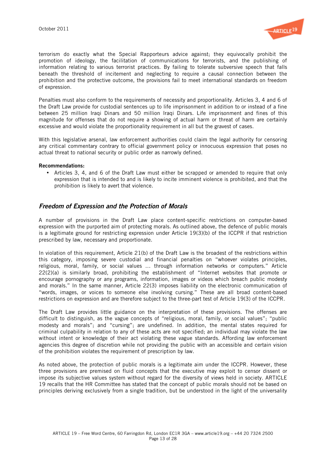

terrorism do exactly what the Special Rapporteurs advice against; they equivocally prohibit the promotion of ideology, the facilitation of communications for terrorists, and the publishing of information relating to various terrorist practices. By failing to tolerate subversive speech that falls beneath the threshold of incitement and neglecting to require a causal connection between the prohibition and the protective outcome, the provisions fail to meet international standards on freedom of expression.

Penalties must also conform to the requirements of necessity and proportionality. Articles 3, 4 and 6 of the Draft Law provide for custodial sentences up to life imprisonment in addition to or instead of a fine between 25 million Iraqi Dinars and 50 million Iraqi Dinars. Life imprisonment and fines of this magnitude for offenses that do not require a showing of actual harm or threat of harm are certainly excessive and would violate the proportionality requirement in all but the gravest of cases.

With this legislative arsenal, law enforcement authorities could claim the legal authority for censoring any critical commentary contrary to official government policy or innocuous expression that poses no actual threat to national security or public order as narrowly defined.

#### Recommendations:

• Articles 3, 4, and 6 of the Draft Law must either be scrapped or amended to require that only expression that is intended to and is likely to incite imminent violence is prohibited, and that the prohibition is likely to avert that violence.

### Freedom of Expression and the Protection of Morals

A number of provisions in the Draft Law place content-specific restrictions on computer-based expression with the purported aim of protecting morals. As outlined above, the defence of public morals is a legitimate ground for restricting expression under Article 19(3)(b) of the ICCPR if that restriction prescribed by law, necessary and proportionate.

In violation of this requirement, Article 21(b) of the Draft Law is the broadest of the restrictions within this category, imposing severe custodial and financial penalties on "whoever violates principles, religious, moral, family, or social values … through information networks or computers." Article 22(2)(a) is similarly broad, prohibiting the establishment of "Internet websites that promote or encourage pornography or any programs, information, images or videos which breach public modesty and morals." In the same manner, Article 22(3) imposes liability on the electronic communication of "words, images, or voices to someone else involving cursing." These are all broad content-based restrictions on expression and are therefore subject to the three-part test of Article 19(3) of the ICCPR.

The Draft Law provides little guidance on the interpretation of these provisions. The offenses are difficult to distinguish, as the vague concepts of "religious, moral, family, or social values"; "public modesty and morals"; and "cursing"; are undefined. In addition, the mental states required for criminal culpability in relation to any of these acts are not specified; an individual may violate the law without intent or knowledge of their act violating these vague standards. Affording law enforcement agencies this degree of discretion while not providing the public with an accessible and certain vision of the prohibition violates the requirement of prescription by law.

As noted above, the protection of public morals is a legitimate aim under the ICCPR. However, these three provisions are premised on fluid concepts that the executive may exploit to censor dissent or impose its subjective values system without regard for the diversity of views held in society. ARTICLE 19 recalls that the HR Committee has stated that the concept of public morals should not be based on principles deriving exclusively from a single tradition, but be understood in the light of the universality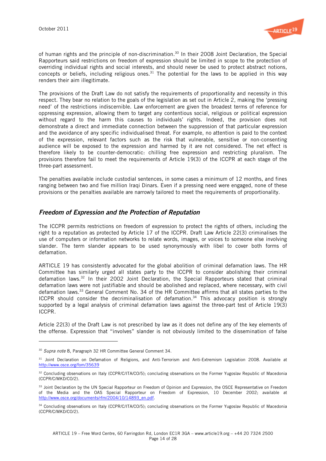

of human rights and the principle of non-discrimination.<sup>30</sup> In their 2008 Joint Declaration, the Special Rapporteurs said restrictions on freedom of expression should be limited in scope to the protection of overriding individual rights and social interests, and should never be used to protect abstract notions, concepts or beliefs, including religious ones.<sup>31</sup> The potential for the laws to be applied in this way renders their aim illegitimate.

The provisions of the Draft Law do not satisfy the requirements of proportionality and necessity in this respect. They bear no relation to the goals of the legislation as set out in Article 2, making the 'pressing need' of the restrictions indiscernible. Law enforcement are given the broadest terms of reference for oppressing expression, allowing them to target any contentious social, religious or political expression without regard to the harm this causes to individuals' rights. Indeed, the provision does not demonstrate a direct and immediate connection between the suppression of that particular expression and the avoidance of any specific individualised threat. For example, no attention is paid to the context of the expression, relevant factors such as the risk that vulnerable, sensitive or non-consenting audience will be exposed to the expression and harmed by it are not considered. The net effect is therefore likely to be counter-democratic: chilling free expression and restricting pluralism. The provisions therefore fail to meet the requirements of Article 19(3) of the ICCPR at each stage of the three-part assessment.

The penalties available include custodial sentences, in some cases a minimum of 12 months, and fines ranging between two and five million Iraqi Dinars. Even if a pressing need were engaged, none of these provisions or the penalties available are narrowly tailored to meet the requirements of proportionality.

# Freedom of Expression and the Protection of Reputation

The ICCPR permits restrictions on freedom of expression to protect the rights of others, including the right to a reputation as protected by Article 17 of the ICCPR. Draft Law Article 22(3) criminalises the use of computers or information networks to relate words, images, or voices to someone else involving slander. The term slander appears to be used synonymously with libel to cover both forms of defamation.

ARTICLE 19 has consistently advocated for the global abolition of criminal defamation laws. The HR Committee has similarly urged all states party to the ICCPR to consider abolishing their criminal defamation laws.32 In their 2002 Joint Declaration, the Special Rapporteurs stated that criminal defamation laws were not justifiable and should be abolished and replaced, where necessary, with civil defamation laws.33 General Comment No. 34 of the HR Committee affirms that all states parties to the ICCPR should consider the decriminalisation of defamation.<sup>34</sup> This advocacy position is strongly supported by a legal analysis of criminal defamation laws against the three-part test of Article 19(3) ICCPR.

Article 22(3) of the Draft Law is not prescribed by law as it does not define any of the key elements of the offense. Expression that "involves" slander is not obviously limited to the dissemination of false

<sup>&</sup>lt;sup>30</sup> Supra note 8, Paragraph 32 HR Committee General Comment 34.

<sup>&</sup>lt;sup>31</sup> Joint Declaration on Defamation of Religions, and Anti-Terrorism and Anti-Extremism Legislation 2008. Available at http://www.osce.org/fom/35639

<sup>&</sup>lt;sup>32</sup> Concluding observations on Italy (CCPR/C/ITA/CO/5); concluding observations on the Former Yugoslav Republic of Macedonia (CCPR/C/MKD/CO/2).

<sup>&</sup>lt;sup>33</sup> Joint Declaration by the UN Special Rapporteur on Freedom of Opinion and Expression, the OSCE Representative on Freedom of the Media and the OAS Special Rapporteur on Freedom of Expression, 10 December 2002; available at http://www.osce.org/documents/rfm/2004/10/14893\_en.pdf.

<sup>34</sup> Concluding observations on Italy (CCPR/C/ITA/CO/5); concluding observations on the Former Yugoslav Republic of Macedonia (CCPR/C/MKD/CO/2).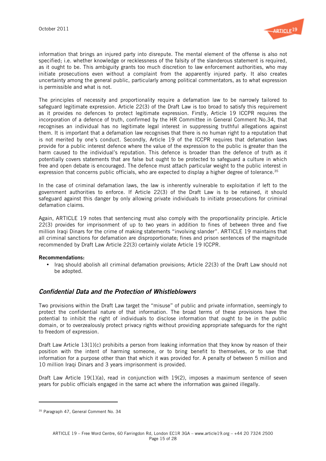

information that brings an injured party into disrepute. The mental element of the offense is also not specified; i.e. whether knowledge or recklessness of the falsity of the slanderous statement is required, as it ought to be. This ambiguity grants too much discretion to law enforcement authorities, who may initiate prosecutions even without a complaint from the apparently injured party. It also creates uncertainty among the general public, particularly among political commentators, as to what expression is permissible and what is not.

The principles of necessity and proportionality require a defamation law to be narrowly tailored to safeguard legitimate expression. Article 22(3) of the Draft Law is too broad to satisfy this requirement as it provides no defences to protect legitimate expression. Firstly, Article 19 ICCPR requires the incorporation of a defence of truth, confirmed by the HR Committee in General Comment No.34, that recognises an individual has no legitimate legal interest in suppressing truthful allegations against them. It is important that a defamation law recognises that there is no human right to a reputation that is not merited by one's conduct. Secondly, Article 19 of the ICCPR requires that defamation laws provide for a public interest defence where the value of the expression to the public is greater than the harm caused to the individual's reputation. This defence is broader than the defence of truth as it potentially covers statements that are false but ought to be protected to safeguard a culture in which free and open debate is encouraged. The defence must attach particular weight to the public interest in expression that concerns public officials, who are expected to display a higher degree of tolerance.<sup>35</sup>

In the case of criminal defamation laws, the law is inherently vulnerable to exploitation if left to the government authorities to enforce. If Article 22(3) of the Draft Law is to be retained, it should safeguard against this danger by only allowing private individuals to initiate prosecutions for criminal defamation claims.

Again, ARTICLE 19 notes that sentencing must also comply with the proportionality principle. Article 22(3) provides for imprisonment of up to two years in addition to fines of between three and five million Iraqi Dinars for the crime of making statements "involving slander". ARTICLE 19 maintains that all criminal sanctions for defamation are disproportionate; fines and prison sentences of the magnitude recommended by Draft Law Article 22(3) certainly violate Article 19 ICCPR.

#### Recommendations:

• Iraq should abolish all criminal defamation provisions; Article 22(3) of the Draft Law should not be adopted.

# Confidential Data and the Protection of Whistleblowers

Two provisions within the Draft Law target the "misuse" of public and private information, seemingly to protect the confidential nature of that information. The broad terms of these provisions have the potential to inhibit the right of individuals to disclose information that ought to be in the public domain, or to overzealously protect privacy rights without providing appropriate safeguards for the right to freedom of expression.

Draft Law Article 13(1)(c) prohibits a person from leaking information that they know by reason of their position with the intent of harming someone, or to bring benefit to themselves, or to use that information for a purpose other than that which it was provided for. A penalty of between 5 million and 10 million Iraqi Dinars and 3 years imprisonment is provided.

Draft Law Article 19(1)(a), read in conjunction with 19(2), imposes a maximum sentence of seven years for public officials engaged in the same act where the information was gained illegally.

l

<sup>&</sup>lt;sup>35</sup> Paragraph 47, General Comment No. 34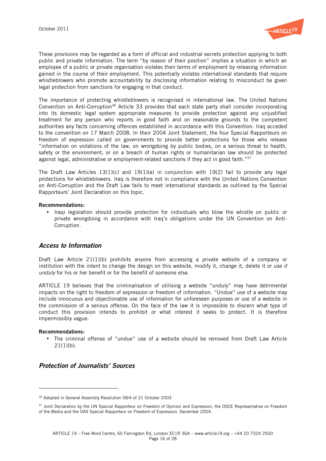

These provisions may be regarded as a form of official and industrial secrets protection applying to both public and private information. The term "by reason of their position" implies a situation in which an employee of a public or private organisation violates their terms of employment by releasing information gained in the course of their employment. This potentially violates international standards that require whistleblowers who promote accountability by disclosing information relating to misconduct be given legal protection from sanctions for engaging in that conduct.

The importance of protecting whistleblowers is recognised in international law. The United Nations Convention on Anti-Corruption<sup>36</sup> Article 33 provides that each state party shall consider incorporating into its domestic legal system appropriate measures to provide protection against any unjustified treatment for any person who reports in good faith and on reasonable grounds to the competent authorities any facts concerning offences established in accordance with this Convention. Iraq acceded to the convention on 17 March 2008. In their 2004 Joint Statement, the four Special Rapporteurs on freedom of expression called on governments to provide better protections for those who release "information on violations of the law, on wrongdoing by public bodies, on a serious threat to health, safety or the environment, or on a breach of human rights or humanitarian law should be protected against legal, administrative or employment-related sanctions if they act in good faith." $37$ 

The Draft Law Articles 13(1)(c) and 19(1)(a) in conjunction with 19(2) fail to provide any legal protections for whistleblowers. Iraq is therefore not in compliance with the United Nations Convention on Anti-Corruption and the Draft Law fails to meet international standards as outlined by the Special Rapporteurs' Joint Declaration on this topic.

#### Recommendations:

• Iraqi legislation should provide protection for individuals who blow the whistle on public or private wrongdoing in accordance with Iraq's obligations under the UN Convention on Anti-Corruption.

### Access to Information

Draft Law Article 21(1)(b) prohibits anyone from accessing a private website of a company or institution with the intent to change the design on this website, modify it, change it, delete it or use it unduly for his or her benefit or for the benefit of someone else.

ARTICLE 19 believes that the criminalisation of utilising a website "unduly" may have detrimental impacts on the right to freedom of expression or freedom of information. "Undue" use of a website may include innocuous and objectionable use of information for unforeseen purposes or use of a website in the commission of a serious offense. On the face of the law it is impossible to discern what type of conduct this provision intends to prohibit or what interest it seeks to protect. It is therefore impermissibly vague.

#### Recommendations:

• The criminal offense of "undue" use of a website should be removed from Draft Law Article  $21(1)(b)$ .

# Protection of Journalists' Sources

<sup>36</sup> Adopted in General Assembly Resolution 58/4 of 31 October 2003

<sup>&</sup>lt;sup>37</sup> Joint Declaration by the UN Special Rapporteur on Freedom of Opinion and Expression, the OSCE Representative on Freedom of the Media and the OAS Special Rapporteur on Freedom of Expression. December 2004.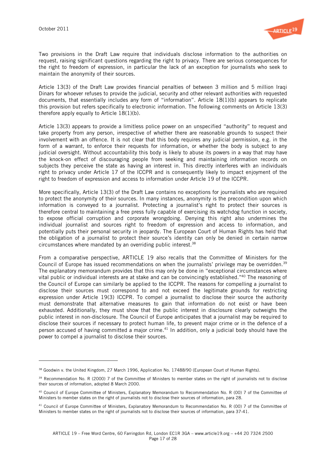

Two provisions in the Draft Law require that individuals disclose information to the authorities on request, raising significant questions regarding the right to privacy. There are serious consequences for the right to freedom of expression, in particular the lack of an exception for journalists who seek to maintain the anonymity of their sources.

Article 13(3) of the Draft Law provides financial penalties of between 3 million and 5 million Iraqi Dinars for whoever refuses to provide the judicial, security and other relevant authorities with requested documents, that essentially includes any form of "information". Article 18(1)(b) appears to replicate this provision but refers specifically to electronic information. The following comments on Article 13(3) therefore apply equally to Article 18(1)(b).

Article 13(3) appears to provide a limitless police power on an unspecified "authority" to request and take property from any person, irrespective of whether there are reasonable grounds to suspect their involvement with an offence. It is not clear that this body requires any judicial permission, e.g. in the form of a warrant, to enforce their requests for information, or whether the body is subject to any judicial oversight. Without accountability this body is likely to abuse its powers in a way that may have the knock-on effect of discouraging people from seeking and maintaining information records on subjects they perceive the state as having an interest in. This directly interferes with an individuals right to privacy under Article 17 of the ICCPR and is consequently likely to impact enjoyment of the right to freedom of expression and access to information under Article 19 of the ICCPR.

More specifically, Article 13(3) of the Draft Law contains no exceptions for journalists who are required to protect the anonymity of their sources. In many instances, anonymity is the precondition upon which information is conveyed to a journalist. Protecting a journalist's right to protect their sources is therefore central to maintaining a free press fully capable of exercising its watchdog function in society, to expose official corruption and corporate wrongdoing. Denying this right also undermines the individual journalist and sources right to freedom of expression and access to information, and potentially puts their personal security in jeopardy. The European Court of Human Rights has held that the obligation of a journalist to protect their source's identity can only be denied in certain narrow circumstances where mandated by an overriding public interest.38

From a comparative perspective, ARTICLE 19 also recalls that the Committee of Ministers for the Council of Europe has issued recommendations on when the journalists' privilege may be overridden.<sup>39</sup> The explanatory memorandum provides that this may only be done in "exceptional circumstances where vital public or individual interests are at stake and can be convincingly established."40 The reasoning of the Council of Europe can similarly be applied to the ICCPR. The reasons for compelling a journalist to disclose their sources must correspond to and not exceed the legitimate grounds for restricting expression under Article 19(3) ICCPR. To compel a journalist to disclose their source the authority must demonstrate that alternative measures to gain that information do not exist or have been exhausted. Additionally, they must show that the public interest in disclosure clearly outweighs the public interest in non-disclosure. The Council of Europe anticipates that a journalist may be required to disclose their sources if necessary to protect human life, to prevent major crime or in the defence of a person accused of having committed a major crime.<sup>41</sup> In addition, only a judicial body should have the power to compel a journalist to disclose their sources.

<sup>&</sup>lt;sup>38</sup> Goodwin v. the United Kingdom, 27 March 1996, Application No. 17488/90 (European Court of Human Rights).

<sup>&</sup>lt;sup>39</sup> Recommendation No. R (2000) 7 of the Committee of Ministers to member states on the right of journalists not to disclose their sources of information, adopted 8 March 2000.

<sup>&</sup>lt;sup>40</sup> Council of Europe Committee of Ministers, Explanatory Memorandum to Recommendation No. R (00) 7 of the Committee of Ministers to member states on the right of journalists not to disclose their sources of information, para 28.

 $41$  Council of Europe Committee of Ministers, Explanatory Memorandum to Recommendation No. R (00) 7 of the Committee of Ministers to member states on the right of journalists not to disclose their sources of information, para 37-41.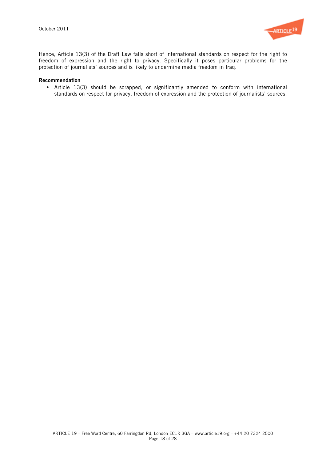

Hence, Article 13(3) of the Draft Law falls short of international standards on respect for the right to freedom of expression and the right to privacy. Specifically it poses particular problems for the protection of journalists' sources and is likely to undermine media freedom in Iraq.

#### Recommendation

• Article 13(3) should be scrapped, or significantly amended to conform with international standards on respect for privacy, freedom of expression and the protection of journalists' sources.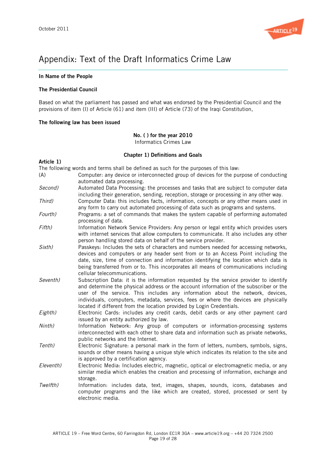

# Appendix: Text of the Draft Informatics Crime Law

#### In Name of the People

#### The Presidential Council

Based on what the parliament has passed and what was endorsed by the Presidential Council and the provisions of item (I) of Article (61) and item (III) of Article (73) of the Iraqi Constitution,

#### The following law has been issued

# No. ( ) for the year 2010

Informatics Crimes Law

#### Chapter 1) Definitions and Goals

#### Article 1) The following words and terms shall be defined as such for the purposes of this law: (A) Computer: any device or interconnected group of devices for the purpose of conducting automated data processing. Second) Automated Data Processing: the processes and tasks that are subject to computer data including their generation, sending, reception, storage or processing in any other way. Third) Computer Data: this includes facts, information, concepts or any other means used in any form to carry out automated processing of data such as programs and systems. Fourth) Programs: a set of commands that makes the system capable of performing automated processing of data. Fifth) Information Network Service Providers: Any person or legal entity which provides users with internet services that allow computers to communicate. It also includes any other person handling stored data on behalf of the service provider. Sixth) Passkeys: Includes the sets of characters and numbers needed for accessing networks, devices and computers or any header sent from or to an Access Point including the date, size, time of connection and information identifying the location which data is being transferred from or to. This incorporates all means of communications including cellular telecommunications. Seventh) Subscription Data: it is the information requested by the service provider to identify and determine the physical address or the account information of the subscriber or the user of the service. This includes any information about the network, devices, individuals, computers, metadata, services, fees or where the devices are physically located if different from the location provided by Login Credentials. Eighth) Electronic Cards: includes any credit cards, debit cards or any other payment card issued by an entity authorized by law. Ninth) Information Network: Any group of computers or information-processing systems interconnected with each other to share data and information such as private networks, public networks and the Internet. Tenth) Electronic Signature: a personal mark in the form of letters, numbers, symbols, signs, sounds or other means having a unique style which indicates its relation to the site and is approved by a certification agency. Eleventh) Electronic Media: Includes electric, magnetic, optical or electromagnetic media, or any similar media which enables the creation and processing of information, exchange and storage. Twelfth) Information: includes data, text, images, shapes, sounds, icons, databases and computer programs and the like which are created, stored, processed or sent by electronic media.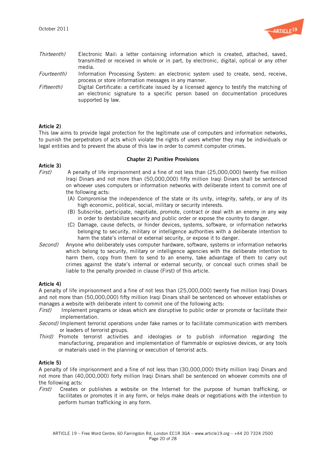

- Thirteenth) Electronic Mail: a letter containing information which is created, attached, saved, transmitted or received in whole or in part, by electronic, digital, optical or any other media.
- Fourteenth) Information Processing System: an electronic system used to create, send, receive, process or store information messages in any manner.
- Fifteenth) Digital Certificate: a certificate issued by a licensed agency to testify the matching of an electronic signature to a specific person based on documentation procedures supported by law.

#### Article 2)

This law aims to provide legal protection for the legitimate use of computers and information networks, to punish the perpetrators of acts which violate the rights of users whether they may be individuals or legal entities and to prevent the abuse of this law in order to commit computer crimes.

#### Chapter 2) Punitive Provisions

# Article 3)<br>First)

- 
- A penalty of life imprisonment and a fine of not less than (25,000,000) twenty five million Iraqi Dinars and not more than (50,000,000) fifty million Iraqi Dinars shall be sentenced on whoever uses computers or information networks with deliberate intent to commit one of the following acts:
	- (A) Compromise the independence of the state or its unity, integrity, safety, or any of its high economic, political, social, military or security interests.
	- (B) Subscribe, participate, negotiate, promote, contract or deal with an enemy in any way in order to destabilize security and public order or expose the country to danger.
	- (C) Damage, cause defects, or hinder devices, systems, software, or information networks belonging to security, military or intelligence authorities with a deliberate intention to harm the state's internal or external security, or expose it to danger.
- Second) Anyone who deliberately uses computer hardware, software, systems or information networks which belong to security, military or intelligence agencies with the deliberate intention to harm them, copy from them to send to an enemy, take advantage of them to carry out crimes against the state's internal or external security, or conceal such crimes shall be liable to the penalty provided in clause (First) of this article.

### Article 4)

A penalty of life imprisonment and a fine of not less than (25,000,000) twenty five million Iraqi Dinars and not more than (50,000,000) fifty million Iraqi Dinars shall be sentenced on whoever establishes or manages a website with deliberate intent to commit one of the following acts:

- First) Implement programs or ideas which are disruptive to public order or promote or facilitate their implementation.
- Second) Implement terrorist operations under fake names or to facilitate communication with members or leaders of terrorist groups.
- Third) Promote terrorist activities and ideologies or to publish information regarding the manufacturing, preparation and implementation of flammable or explosive devices, or any tools or materials used in the planning or execution of terrorist acts.

### Article 5)

A penalty of life imprisonment and a fine of not less than (30,000,000) thirty million Iraqi Dinars and not more than (40,000,000) forty million Iraqi Dinars shall be sentenced on whoever commits one of the following acts:

First) Creates or publishes a website on the Internet for the purpose of human trafficking, or facilitates or promotes it in any form, or helps make deals or negotiations with the intention to perform human trafficking in any form.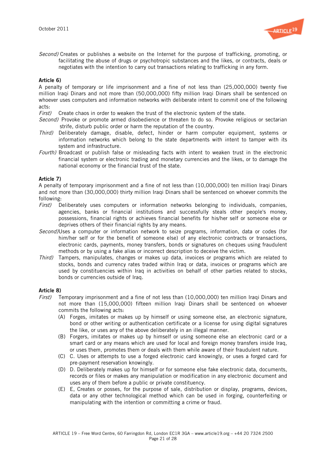

Second) Creates or publishes a website on the Internet for the purpose of trafficking, promoting, or facilitating the abuse of drugs or psychotropic substances and the likes, or contracts, deals or negotiates with the intention to carry out transactions relating to trafficking in any form.

#### Article 6)

A penalty of temporary or life imprisonment and a fine of not less than (25,000,000) twenty five million Iraqi Dinars and not more than (50,000,000) fifty million Iraqi Dinars shall be sentenced on whoever uses computers and information networks with deliberate intent to commit one of the following acts:

First) Create chaos in order to weaken the trust of the electronic system of the state.

- Second) Provoke or promote armed disobedience or threaten to do so. Provoke religious or sectarian strife, disturb public order or harm the reputation of the country.
- Third) Deliberately damage, disable, defect, hinder or harm computer equipment, systems or information networks which belong to the state departments with intent to tamper with its system and infrastructure.
- Fourth) Broadcast or publish false or misleading facts with intent to weaken trust in the electronic financial system or electronic trading and monetary currencies and the likes, or to damage the national economy or the financial trust of the state.

### Article 7)

A penalty of temporary imprisonment and a fine of not less than (10,000,000) ten million Iraqi Dinars and not more than (30,000,000) thirty million Iraqi Dinars shall be sentenced on whoever commits the following:

- First) Deliberately uses computers or information networks belonging to individuals, companies, agencies, banks or financial institutions and successfully steals other people's money, possessions, financial rights or achieves financial benefits for his/her self or someone else or deprives others of their financial rights by any means.
- Second)Uses a computer or information network to seize programs, information, data or codes (for him/her self or for the benefit of someone else) of any electronic contracts or transactions, electronic cards, payments, money transfers, bonds or signatures on cheques using fraudulent methods or by using a fake alias or incorrect description to deceive the victim.
- Third) Tampers, manipulates, changes or makes up data, invoices or programs which are related to stocks, bonds and currency rates traded within Iraq or data, invoices or programs which are used by constituencies within Iraq in activities on behalf of other parties related to stocks, bonds or currencies outside of Iraq.

# Article 8)<br>First) T

- Temporary imprisonment and a fine of not less than (10,000,000) ten million Iraqi Dinars and not more than (15,000,000) fifteen million Iraqi Dinars shall be sentenced on whoever commits the following acts:
	- (A) Forges, imitates or makes up by himself or using someone else, an electronic signature, bond or other writing or authentication certificate or a license for using digital signatures the like, or uses any of the above deliberately in an illegal manner.
	- (B) Forgers, imitates or makes up by himself or using someone else an electronic card or a smart card or any means which are used for local and foreign money transfers inside Iraq, or uses them, promotes them or deals with them while aware of their fraudulent nature.
	- (C) C. Uses or attempts to use a forged electronic card knowingly, or uses a forged card for pre-payment reservation knowingly.
	- (D) D. Deliberately makes up for himself or for someone else fake electronic data, documents, records or files or makes any manipulation or modification in any electronic document and uses any of them before a public or private constituency.
	- (E) E, Creates or posses, for the purpose of sale, distribution or display, programs, devices, data or any other technological method which can be used in forging, counterfeiting or manipulating with the intention or committing a crime or fraud.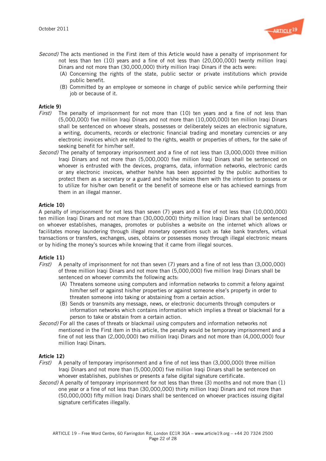

- Second) The acts mentioned in the First item of this Article would have a penalty of imprisonment for not less than ten (10) years and a fine of not less than (20,000,000) twenty million Iraqi Dinars and not more than (30,000,000) thirty million Iraqi Dinars if the acts were:
	- (A) Concerning the rights of the state, public sector or private institutions which provide public benefit.
	- (B) Committed by an employee or someone in charge of public service while performing their job or because of it.

# Article 9)<br> $First$

- The penalty of imprisonment for not more than (10) ten years and a fine of not less than (5,000,000) five million Iraqi Dinars and not more than (10,000,000) ten million Iraqi Dinars shall be sentenced on whoever steals, possesses or deliberately seizes an electronic signature, a writing, documents, records or electronic financial trading and monetary currencies or any electronic invoices which are related to the rights, wealth or properties of others, for the sake of seeking benefit for him/her self.
- Second) The penalty of temporary imprisonment and a fine of not less than (3,000,000) three million Iraqi Dinars and not more than (5,000,000) five million Iraqi Dinars shall be sentenced on whoever is entrusted with the devices, programs, data, information networks, electronic cards or any electronic invoices, whether he/she has been appointed by the public authorities to protect them as a secretary or a guard and he/she seizes them with the intention to possess or to utilize for his/her own benefit or the benefit of someone else or has achieved earnings from them in an illegal manner.

#### Article 10)

A penalty of imprisonment for not less than seven (7) years and a fine of not less than (10,000,000) ten million Iraqi Dinars and not more than (30,000,000) thirty million Iraqi Dinars shall be sentenced on whoever establishes, manages, promotes or publishes a website on the internet which allows or facilitates money laundering through illegal monetary operations such as fake bank transfers, virtual transactions or transfers, exchanges, uses, obtains or possesses money through illegal electronic means or by hiding the money's sources while knowing that it came from illegal sources.

#### Article 11)

- First) A penalty of imprisonment for not than seven (7) years and a fine of not less than (3,000,000) of three million Iraqi Dinars and not more than (5,000,000) five million Iraqi Dinars shall be sentenced on whoever commits the following acts:
	- (A) Threatens someone using computers and information networks to commit a felony against him/her self or against his/her properties or against someone else's property in order to threaten someone into taking or abstaining from a certain action.
	- (B) Sends or transmits any message, news, or electronic documents through computers or information networks which contains information which implies a threat or blackmail for a person to take or abstain from a certain action.
- Second) For all the cases of threats or blackmail using computers and information networks not mentioned in the First item in this article, the penalty would be temporary imprisonment and a fine of not less than (2,000,000) two million Iraqi Dinars and not more than (4,000,000) four million Iraqi Dinars.

#### Article 12)

- First) A penalty of temporary imprisonment and a fine of not less than (3,000,000) three million Iraqi Dinars and not more than (5,000,000) five million Iraqi Dinars shall be sentenced on whoever establishes, publishes or presents a false digital signature certificate.
- Second) A penalty of temporary imprisonment for not less than three (3) months and not more than (1) one year or a fine of not less than (30,000,000) thirty million Iraqi Dinars and not more than (50,000,000) fifty million Iraqi Dinars shall be sentenced on whoever practices issuing digital signature certificates illegally.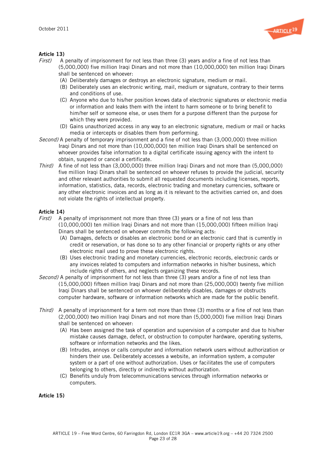

# **Article 13)**<br> $First)$  A

- A penalty of imprisonment for not less than three (3) years and/or a fine of not less than (5,000,000) five million Iraqi Dinars and not more than (10,000,000) ten million Iraqi Dinars shall be sentenced on whoever:
	- (A) Deliberately damages or destroys an electronic signature, medium or mail.
	- (B) Deliberately uses an electronic writing, mail, medium or signature, contrary to their terms and conditions of use.
	- (C) Anyone who due to his/her position knows data of electronic signatures or electronic media or information and leaks them with the intent to harm someone or to bring benefit to him/her self or someone else, or uses them for a purpose different than the purpose for which they were provided.
	- (D) Gains unauthorized access in any way to an electronic signature, medium or mail or hacks media or intercepts or disables them from performing.
- Second) A penalty of temporary imprisonment and a fine of not less than (3,000,000) three million Iraqi Dinars and not more than (10,000,000) ten million Iraqi Dinars shall be sentenced on whoever provides false information to a digital certificate issuing agency with the intent to obtain, suspend or cancel a certificate.
- Third) A fine of not less than (3,000,000) three million Iraqi Dinars and not more than (5,000,000) five million Iraqi Dinars shall be sentenced on whoever refuses to provide the judicial, security and other relevant authorities to submit all requested documents including licenses, reports, information, statistics, data, records, electronic trading and monetary currencies, software or any other electronic invoices and as long as it is relevant to the activities carried on, and does not violate the rights of intellectual property.

# **Article 14)**<br> $First)$  A r

- A penalty of imprisonment not more than three (3) years or a fine of not less than (10,000,000) ten million Iraqi Dinars and not more than (15,000,000) fifteen million Iraqi Dinars shall be sentenced on whoever commits the following acts:
	- (A) Damages, defects or disables an electronic bond or an electronic card that is currently in credit or reservation, or has done so to any other financial or property rights or any other electronic mail used to prove these electronic rights.
	- (B) Uses electronic trading and monetary currencies, electronic records, electronic cards or any invoices related to computers and information networks in his/her business, which include rights of others, and neglects organizing these records.
- Second) A penalty of imprisonment for not less than three (3) years and/or a fine of not less than (15,000,000) fifteen million Iraqi Dinars and not more than (25,000,000) twenty five million Iraqi Dinars shall be sentenced on whoever deliberately disables, damages or obstructs computer hardware, software or information networks which are made for the public benefit.
- Third) A penalty of imprisonment for a term not more than three (3) months or a fine of not less than (2,000,000) two million Iraqi Dinars and not more than (5,000,000) five million Iraqi Dinars shall be sentenced on whoever:
	- (A) Has been assigned the task of operation and supervision of a computer and due to his/her mistake causes damage, defect, or obstruction to computer hardware, operating systems, software or information networks and the likes.
	- (B) Intrudes, annoys or calls computer and information network users without authorization or hinders their use. Deliberately accesses a website, an information system, a computer system or a part of one without authorization. Uses or facilitates the use of computers belonging to others, directly or indirectly without authorization.
	- (C) Benefits unduly from telecommunications services through information networks or computers.

Article 15)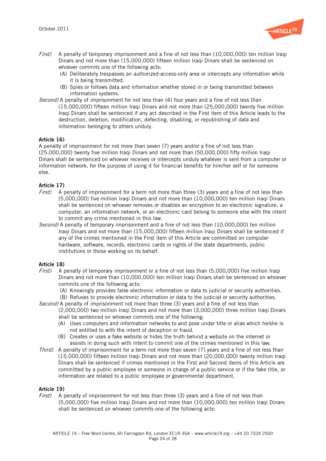

- $First$ ) A penalty of temporary imprisonment and a fine of not less than (10,000,000) ten million Iraqi Dinars and not more than (15,000,000) fifteen million Iraqi Dinars shall be sentenced on whoever commits one of the following acts:
	- (A) Deliberately trespasses an authorized-access-only area or intercepts any information while it is being transmitted.
	- (B) Spies or follows data and information whether stored in or being transmitted between information systems.
- Second) A penalty of imprisonment for not less than (4) four years and a fine of not less than (15,000,000) fifteen million Iraqi Dinars and not more than (25,000,000) twenty five million Iraqi Dinars shall be sentenced if any act described in the First item of this Article leads to the destruction, deletion, modification, defecting, disabling, or republishing of data and information belonging to others unduly.

### Article 16)

A penalty of imprisonment for not more than seven (7) years and/or a fine of not less than (25,000,000) twenty five million Iraqi Dinars and not more than (50,000,000) fifty million Iraqi Dinars shall be sentenced on whoever receives or intercepts unduly whatever is sent from a computer or information network, for the purpose of using it for financial benefits for him/her self or for someone else.

### Article 17)

- $First$ ) A penalty of imprisonment for a term not more than three (3) years and a fine of not less than (5,000,000) five million Iraqi Dinars and not more than (10,000,000) ten million Iraqi Dinars shall be sentenced on whoever removes or disables an encryption to an electronic signature, a computer, an information network, or an electronic card belong to someone else with the intent to commit any crime mentioned in this law.
- Second) A penalty of temporary imprisonment and a fine of not less than (10,000,000) ten million Iraqi Dinars and not more than (15,000,000) fifteen million Iraqi Dinars shall be sentenced if any of the crimes mentioned in the First item of this Article are committed on computer hardware, software, records, electronic cards or rights of the state departments, public institutions or those working on its behalf.

### Article 18)

- First) A penalty of temporary imprisonment or a fine of not less than (5,000,000) five million Iraqi Dinars and not more than (10,000,000) ten million Iraqi Dinars shall be sentenced on whoever commits one of the following acts:
	- (A) Knowingly provides false electronic information or data to judicial or security authorities.
- (B) Refuses to provide electronic information or data to the judicial or security authorities. Second) A penalty of imprisonment not more than three (3) years and a fine of not less than (2,000,000) two million Iraqi Dinars and not more than (3,000,000) three million Iraqi Dinars
	- shall be sentenced on whoever commits one of the following:
	- (A) Uses computers and information networks to and pose under title or alias which he/she is not entitled to with the intent of deception or fraud.
	- (B) Creates or uses a fake website or hides the truth behind a website on the internet or assists in doing such with intent to commit one of the crimes mentioned in this law.
- Third) A penalty of imprisonment for a term not more than seven (7) years and a fine of not less than (15,000,000) fifteen million Iraqi Dinars and not more than (20,000,000) twenty million Iraqi Dinars shall be sentenced if crimes mentioned in the First and Second items of this Article are committed by a public employee or someone in charge of a public service or if the fake title, or information are related to a public employee or governmental department.

### Article 19)

First) A penalty of imprisonment for not less than three (3) years and a fine of not less than (5,000,000) five million Iraqi Dinars and not more than (10,000,000) ten million Iraqi Dinars shall be sentenced on whoever commits one of the following acts: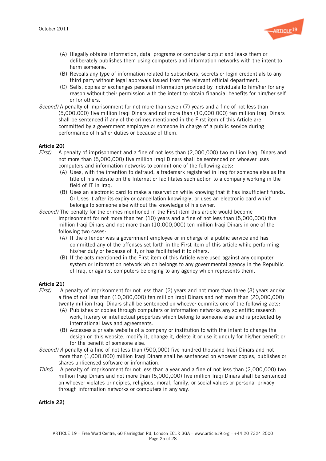

- (A) Illegally obtains information, data, programs or computer output and leaks them or deliberately publishes them using computers and information networks with the intent to harm someone.
- (B) Reveals any type of information related to subscribers, secrets or login credentials to any third party without legal approvals issued from the relevant official department.
- (C) Sells, copies or exchanges personal information provided by individuals to him/her for any reason without their permission with the intent to obtain financial benefits for him/her self or for others.
- Second) A penalty of imprisonment for not more than seven (7) years and a fine of not less than (5,000,000) five million Iraqi Dinars and not more than (10,000,000) ten million Iraqi Dinars shall be sentenced if any of the crimes mentioned in the First item of this Article are committed by a government employee or someone in charge of a public service during performance of his/her duties or because of them.

#### Article 20)

- First) A penalty of imprisonment and a fine of not less than (2,000,000) two million Iraqi Dinars and not more than (5,000,000) five million Iraqi Dinars shall be sentenced on whoever uses computers and information networks to commit one of the following acts:
	- (A) Uses, with the intention to defraud, a trademark registered in Iraq for someone else as the title of his website on the Internet or facilitates such action to a company working in the field of IT in Iraq.
	- (B) Uses an electronic card to make a reservation while knowing that it has insufficient funds. Or Uses it after its expiry or cancellation knowingly, or uses an electronic card which belongs to someone else without the knowledge of his owner.
- Second) The penalty for the crimes mentioned in the First item this article would become imprisonment for not more than ten (10) years and a fine of not less than (5,000,000) five million Iraqi Dinars and not more than (10,000,000) ten million Iraqi Dinars in one of the following two cases:
	- (A) If the offender was a government employee or in charge of a public service and has committed any of the offenses set forth in the First item of this article while performing his/her duty or because of it, or has facilitated it to others.
	- (B) If the acts mentioned in the First item of this Article were used against any computer system or information network which belongs to any governmental agency in the Republic of Iraq, or against computers belonging to any agency which represents them.

### Article 21)

- First) A penalty of imprisonment for not less than (2) years and not more than three (3) years and/or a fine of not less than (10,000,000) ten million Iraqi Dinars and not more than (20,000,000) twenty million Iraqi Dinars shall be sentenced on whoever commits one of the following acts:
	- (A) Publishes or copies through computers or information networks any scientific research work, literary or intellectual properties which belong to someone else and is protected by international laws and agreements.
	- (B) Accesses a private website of a company or institution to with the intent to change the design on this website, modify it, change it, delete it or use it unduly for his/her benefit or for the benefit of someone else.
- Second) A penalty of a fine of not less than (500,000) five hundred thousand Iraqi Dinars and not more than (1,000,000) million Iraqi Dinars shall be sentenced on whoever copies, publishes or shares unlicensed software or information.
- Third) A penalty of imprisonment for not less than a year and a fine of not less than (2,000,000) two million Iraqi Dinars and not more than (5,000,000) five million Iraqi Dinars shall be sentenced on whoever violates principles, religious, moral, family, or social values or personal privacy through information networks or computers in any way.

Article 22)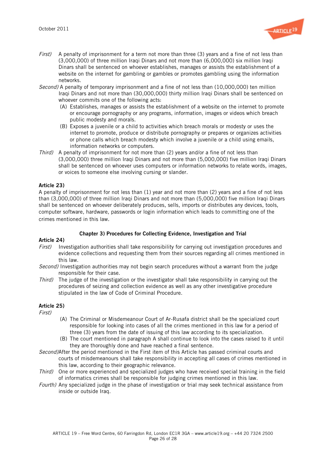

- $First$ ) A penalty of imprisonment for a term not more than three (3) years and a fine of not less than (3,000,000) of three million Iraqi Dinars and not more than (6,000,000) six million Iraqi Dinars shall be sentenced on whoever establishes, manages or assists the establishment of a website on the internet for gambling or gambles or promotes gambling using the information networks.
- Second) A penalty of temporary imprisonment and a fine of not less than (10,000,000) ten million Iraqi Dinars and not more than (30,000,000) thirty million Iraqi Dinars shall be sentenced on whoever commits one of the following acts:
	- (A) Establishes, manages or assists the establishment of a website on the internet to promote or encourage pornography or any programs, information, images or videos which breach public modesty and morals.
	- (B) Exposes a juvenile or a child to activities which breach morals or modesty or uses the internet to promote, produce or distribute pornography or prepares or organizes activities or phone calls which breach modesty which involve a juvenile or a child using emails, information networks or computers.
- Third) A penalty of imprisonment for not more than (2) years and/or a fine of not less than (3,000,000) three million Iraqi Dinars and not more than (5,000,000) five million Iraqi Dinars shall be sentenced on whoever uses computers or information networks to relate words, images, or voices to someone else involving cursing or slander.

### Article 23)

A penalty of imprisonment for not less than (1) year and not more than (2) years and a fine of not less than (3,000,000) of three million Iraqi Dinars and not more than (5,000,000) five million Iraqi Dinars shall be sentenced on whoever deliberately produces, sells, imports or distributes any devices, tools, computer software, hardware, passwords or login information which leads to committing one of the crimes mentioned in this law."

### Chapter 3) Procedures for Collecting Evidence, Investigation and Trial

#### Article 24)

- First) Investigation authorities shall take responsibility for carrying out investigation procedures and evidence collections and requesting them from their sources regarding all crimes mentioned in this law.
- Second) Investigation authorities may not begin search procedures without a warrant from the judge responsible for their case.
- Third) The judge of the investigation or the investigator shall take responsibility in carrying out the procedures of seizing and collection evidence as well as any other investigative procedure stipulated in the law of Code of Criminal Procedure.

### Article 25)

First)

- (A) The Criminal or Misdemeanour Court of Ar-Rusafa district shall be the specialized court responsible for looking into cases of all the crimes mentioned in this law for a period of three (3) years from the date of issuing of this law according to its specialization.
- (B) The court mentioned in paragraph A shall continue to look into the cases raised to it until they are thoroughly done and have reached a final sentence.
- Second)After the period mentioned in the First item of this Article has passed criminal courts and courts of misdemeanours shall take responsibility in accepting all cases of crimes mentioned in this law, according to their geographic relevance.
- Third) One or more experienced and specialized judges who have received special training in the field of informatics crimes shall be responsible for judging crimes mentioned in this law.
- Fourth) Any specialized judge in the phase of investigation or trial may seek technical assistance from inside or outside Iraq.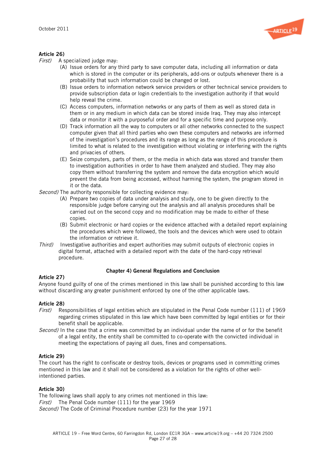

# **Article 26)**<br> $First)$  As

A specialized judge may:

- (A) Issue orders for any third party to save computer data, including all information or data which is stored in the computer or its peripherals, add-ons or outputs whenever there is a probability that such information could be changed or lost.
- (B) Issue orders to information network service providers or other technical service providers to provide subscription data or login credentials to the investigation authority if that would help reveal the crime.
- (C) Access computers, information networks or any parts of them as well as stored data in them or in any medium in which data can be stored inside Iraq. They may also intercept data or monitor it with a purposeful order and for a specific time and purpose only.
- (D) Track information all the way to computers or all other networks connected to the suspect computer given that all third parties who own these computers and networks are informed of the investigation's procedures and its range as long as the range of this procedure is limited to what is related to the investigation without violating or interfering with the rights and privacies of others.
- (E) Seize computers, parts of them, or the media in which data was stored and transfer them to investigation authorities in order to have them analyzed and studied. They may also copy them without transferring the system and remove the data encryption which would prevent the data from being accessed, without harming the system, the program stored in it or the data.
- Second) The authority responsible for collecting evidence may:
	- (A) Prepare two copies of data under analysis and study, one to be given directly to the responsible judge before carrying out the analysis and all analysis procedures shall be carried out on the second copy and no modification may be made to either of these copies.
	- (B) Submit electronic or hard copies or the evidence attached with a detailed report explaining the procedures which were followed, the tools and the devices which were used to obtain the information or retrieve it.
- Third) Investigative authorities and expert authorities may submit outputs of electronic copies in digital format, attached with a detailed report with the date of the hard-copy retrieval procedure.

### Chapter 4) General Regulations and Conclusion

#### Article 27)

Anyone found guilty of one of the crimes mentioned in this law shall be punished according to this law without discarding any greater punishment enforced by one of the other applicable laws.

### Article 28)

- First) Responsibilities of legal entities which are stipulated in the Penal Code number (111) of 1969 regarding crimes stipulated in this law which have been committed by legal entities or for their benefit shall be applicable.
- Second) In the case that a crime was committed by an individual under the name of or for the benefit of a legal entity, the entity shall be committed to co-operate with the convicted individual in meeting the expectations of paying all dues, fines and compensations.

#### Article 29)

The court has the right to confiscate or destroy tools, devices or programs used in committing crimes mentioned in this law and it shall not be considered as a violation for the rights of other wellintentioned parties.

### Article 30)

The following laws shall apply to any crimes not mentioned in this law: First) The Penal Code number (111) for the year 1969 Second) The Code of Criminal Procedure number (23) for the year 1971